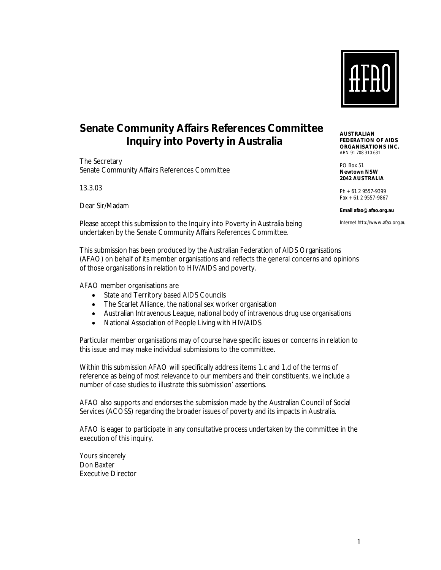

## **Senate Community Affairs References Committee Inquiry into Poverty in Australia**

The Secretary Senate Community Affairs References Committee

13.3.03

Dear Sir/Madam

Please accept this submission to the Inquiry into Poverty in Australia being undertaken by the Senate Community Affairs References Committee.

This submission has been produced by the Australian Federation of AIDS Organisations (AFAO) on behalf of its member organisations and reflects the general concerns and opinions of those organisations in relation to HIV/AIDS and poverty.

AFAO member organisations are

- State and Territory based AIDS Councils
- The Scarlet Alliance, the national sex worker organisation
- Australian Intravenous League, national body of intravenous drug use organisations
- National Association of People Living with HIV/AIDS

Particular member organisations may of course have specific issues or concerns in relation to this issue and may make individual submissions to the committee.

Within this submission AFAO will specifically address items 1.c and 1.d of the terms of reference as being of most relevance to our members and their constituents, we include a number of case studies to illustrate this submission' assertions.

AFAO also supports and endorses the submission made by the Australian Council of Social Services (ACOSS) regarding the broader issues of poverty and its impacts in Australia.

AFAO is eager to participate in any consultative process undertaken by the committee in the execution of this inquiry.

Yours sincerely Don Baxter Executive Director **AUSTRALIAN FEDERATION OF AIDS ORGANISATIONS INC.**  ABN 91 708 310 631

PO Box 51 **Newtown NSW 2042 AUSTRALIA** 

Ph +61 2 9557-9399 Fax +61 2 9557-9867

**Email afao@afao.org.au** 

Internet http://www.afao.org.au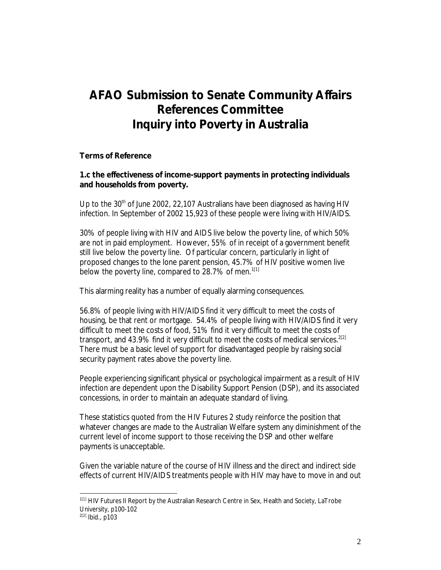# **AFAO Submission to Senate Community Affairs References Committee Inquiry into Poverty in Australia**

#### **Terms of Reference**

**1.c the effectiveness of income-support payments in protecting individuals and households from poverty.** 

Up to the  $30<sup>th</sup>$  of June 2002, 22,107 Australians have been diagnosed as having HIV infection. In September of 2002 15,923 of these people were living with HIV/AIDS.

30% of people living with HIV and AIDS live below the poverty line, of which 50% are not in paid employment. However, 55% of in receipt of a government benefit still live below the poverty line. Of particular concern, particularly in light of proposed changes to the lone parent pension, 45.7% of HIV positive women live below the poverty line, compared to 28.7% of men.<sup>1[1]</sup>

This alarming reality has a number of equally alarming consequences.

56.8% of people living with HIV/AIDS find it very difficult to meet the costs of housing, be that rent or mortgage. 54.4% of people living with HIV/AIDS find it very difficult to meet the costs of food, 51% find it very difficult to meet the costs of transport, and 43.9% find it very difficult to meet the costs of medical services.<sup>2[2]</sup> There must be a basic level of support for disadvantaged people by raising social security payment rates above the poverty line.

People experiencing significant physical or psychological impairment as a result of HIV infection are dependent upon the Disability Support Pension (DSP), and its associated concessions, in order to maintain an adequate standard of living.

These statistics quoted from the HIV Futures 2 study reinforce the position that whatever changes are made to the Australian Welfare system any diminishment of the current level of income support to those receiving the DSP and other welfare payments is unacceptable.

Given the variable nature of the course of HIV illness and the direct and indirect side effects of current HIV/AIDS treatments people with HIV may have to move in and out

l

 $1<sup>[1]</sup>$  HIV Futures II Report by the Australian Research Centre in Sex, Health and Society, LaTrobe University, p100-102

 $^{2[2]}$  Ibid., p103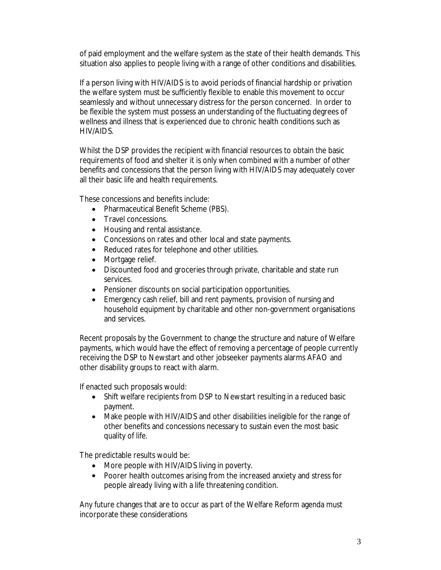of paid employment and the welfare system as the state of their health demands. This situation also applies to people living with a range of other conditions and disabilities.

If a person living with HIV/AIDS is to avoid periods of financial hardship or privation the welfare system must be sufficiently flexible to enable this movement to occur seamlessly and without unnecessary distress for the person concerned. In order to be flexible the system must possess an understanding of the fluctuating degrees of wellness and illness that is experienced due to chronic health conditions such as HIV/AIDS.

Whilst the DSP provides the recipient with financial resources to obtain the basic requirements of food and shelter it is only when combined with a number of other benefits and concessions that the person living with HIV/AIDS may adequately cover all their basic life and health requirements.

These concessions and benefits include:

- Pharmaceutical Benefit Scheme (PBS).
- Travel concessions.
- Housing and rental assistance.
- Concessions on rates and other local and state payments.
- Reduced rates for telephone and other utilities.
- Mortgage relief.
- Discounted food and groceries through private, charitable and state run services.
- Pensioner discounts on social participation opportunities.
- Emergency cash relief, bill and rent payments, provision of nursing and household equipment by charitable and other non-government organisations and services.

Recent proposals by the Government to change the structure and nature of Welfare payments, which would have the effect of removing a percentage of people currently receiving the DSP to Newstart and other jobseeker payments alarms AFAO and other disability groups to react with alarm.

If enacted such proposals would:

- Shift welfare recipients from DSP to Newstart resulting in a reduced basic payment.
- Make people with HIV/AIDS and other disabilities ineligible for the range of other benefits and concessions necessary to sustain even the most basic quality of life.

The predictable results would be:

- More people with HIV/AIDS living in poverty.
- Poorer health outcomes arising from the increased anxiety and stress for people already living with a life threatening condition.

Any future changes that are to occur as part of the Welfare Reform agenda must incorporate these considerations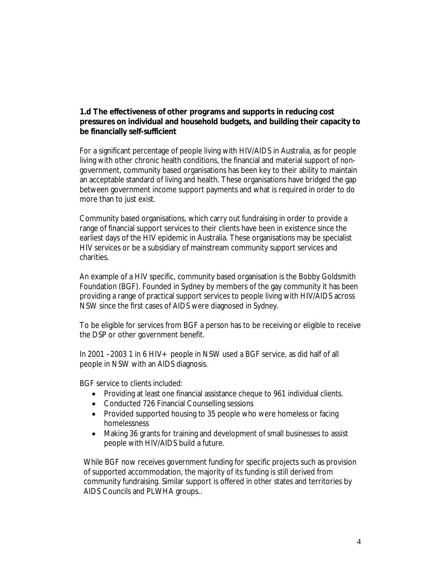### **1.d The effectiveness of other programs and supports in reducing cost pressures on individual and household budgets, and building their capacity to be financially self-sufficient**

For a significant percentage of people living with HIV/AIDS in Australia, as for people living with other chronic health conditions, the financial and material support of nongovernment, community based organisations has been key to their ability to maintain an acceptable standard of living and health. These organisations have bridged the gap between government income support payments and what is required in order to do more than to just exist.

Community based organisations, which carry out fundraising in order to provide a range of financial support services to their clients have been in existence since the earliest days of the HIV epidemic in Australia. These organisations may be specialist HIV services or be a subsidiary of mainstream community support services and charities.

An example of a HIV specific, community based organisation is the Bobby Goldsmith Foundation (BGF). Founded in Sydney by members of the gay community it has been providing a range of practical support services to people living with HIV/AIDS across NSW since the first cases of AIDS were diagnosed in Sydney.

To be eligible for services from BGF a person has to be receiving or eligible to receive the DSP or other government benefit.

In 2001 –2003 1 in 6 HIV + people in NSW used a BGF service, as did half of all people in NSW with an AIDS diagnosis.

BGF service to clients included:

- Providing at least one financial assistance cheque to 961 individual clients.
- Conducted 726 Financial Counselling sessions
- Provided supported housing to 35 people who were homeless or facing homelessness
- Making 36 grants for training and development of small businesses to assist people with HIV/AIDS build a future.

While BGF now receives government funding for specific projects such as provision of supported accommodation, the majority of its funding is still derived from community fundraising. Similar support is offered in other states and territories by AIDS Councils and PLWHA groups..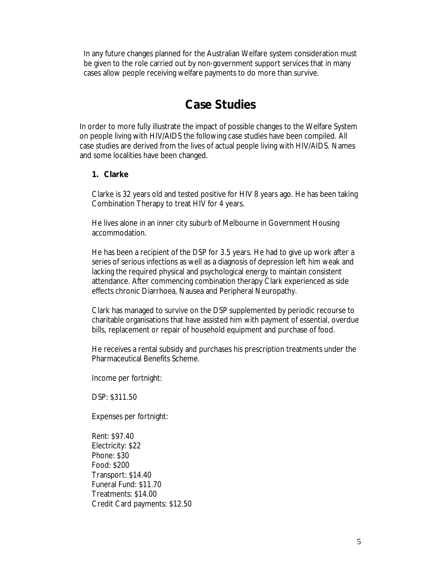In any future changes planned for the Australian Welfare system consideration must be given to the role carried out by non-government support services that in many cases allow people receiving welfare payments to do more than survive.

## **Case Studies**

In order to more fully illustrate the impact of possible changes to the Welfare System on people living with HIV/AIDS the following case studies have been compiled. All case studies are derived from the lives of actual people living with HIV/AIDS. Names and some localities have been changed.

#### **1. Clarke**

Clarke is 32 years old and tested positive for HIV 8 years ago. He has been taking Combination Therapy to treat HIV for 4 years.

He lives alone in an inner city suburb of Melbourne in Government Housing accommodation.

He has been a recipient of the DSP for 3.5 years. He had to give up work after a series of serious infections as well as a diagnosis of depression left him weak and lacking the required physical and psychological energy to maintain consistent attendance. After commencing combination therapy Clark experienced as side effects chronic Diarrhoea, Nausea and Peripheral Neuropathy.

Clark has managed to survive on the DSP supplemented by periodic recourse to charitable organisations that have assisted him with payment of essential, overdue bills, replacement or repair of household equipment and purchase of food.

He receives a rental subsidy and purchases his prescription treatments under the Pharmaceutical Benefits Scheme.

Income per fortnight:

DSP: \$311.50

Expenses per fortnight:

Rent: \$97.40 Electricity: \$22 Phone: \$30 Food: \$200 Transport: \$14.40 Funeral Fund: \$11.70 Treatments: \$14.00 Credit Card payments: \$12.50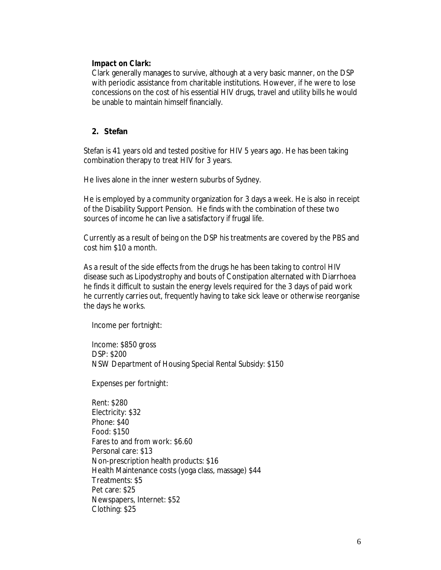#### *Impact on Clark:*

Clark generally manages to survive, although at a very basic manner, on the DSP with periodic assistance from charitable institutions. However, if he were to lose concessions on the cost of his essential HIV drugs, travel and utility bills he would be unable to maintain himself financially.

#### **2. Stefan**

Stefan is 41 years old and tested positive for HIV 5 years ago. He has been taking combination therapy to treat HIV for 3 years.

He lives alone in the inner western suburbs of Sydney.

He is employed by a community organization for 3 days a week. He is also in receipt of the Disability Support Pension. He finds with the combination of these two sources of income he can live a satisfactory if frugal life.

Currently as a result of being on the DSP his treatments are covered by the PBS and cost him \$10 a month.

As a result of the side effects from the drugs he has been taking to control HIV disease such as Lipodystrophy and bouts of Constipation alternated with Diarrhoea he finds it difficult to sustain the energy levels required for the 3 days of paid work he currently carries out, frequently having to take sick leave or otherwise reorganise the days he works.

Income per fortnight:

Income: \$850 gross DSP: \$200 NSW Department of Housing Special Rental Subsidy: \$150

Expenses per fortnight:

Rent: \$280 Electricity: \$32 Phone: \$40 Food: \$150 Fares to and from work: \$6.60 Personal care: \$13 Non-prescription health products: \$16 Health Maintenance costs (yoga class, massage) \$44 Treatments: \$5 Pet care: \$25 Newspapers, Internet: \$52 Clothing: \$25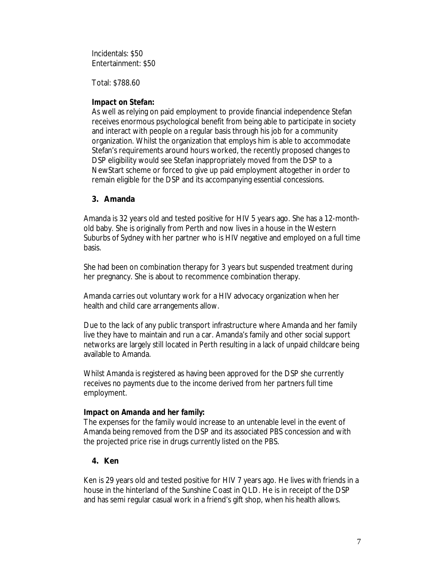Incidentals: \$50 Entertainment: \$50

Total: \$788.60

#### *Impact on Stefan:*

As well as relying on paid employment to provide financial independence Stefan receives enormous psychological benefit from being able to participate in society and interact with people on a regular basis through his job for a community organization. Whilst the organization that employs him is able to accommodate Stefan's requirements around hours worked, the recently proposed changes to DSP eligibility would see Stefan inappropriately moved from the DSP to a NewStart scheme or forced to give up paid employment altogether in order to remain eligible for the DSP and its accompanying essential concessions.

#### **3. Amanda**

Amanda is 32 years old and tested positive for HIV 5 years ago. She has a 12-monthold baby. She is originally from Perth and now lives in a house in the Western Suburbs of Sydney with her partner who is HIV negative and employed on a full time basis.

She had been on combination therapy for 3 years but suspended treatment during her pregnancy. She is about to recommence combination therapy.

Amanda carries out voluntary work for a HIV advocacy organization when her health and child care arrangements allow.

Due to the lack of any public transport infrastructure where Amanda and her family live they have to maintain and run a car. Amanda's family and other social support networks are largely still located in Perth resulting in a lack of unpaid childcare being available to Amanda.

Whilst Amanda is registered as having been approved for the DSP she currently receives no payments due to the income derived from her partners full time employment.

#### *Impact on Amanda and her family:*

The expenses for the family would increase to an untenable level in the event of Amanda being removed from the DSP and its associated PBS concession and with the projected price rise in drugs currently listed on the PBS.

### **4. Ken**

Ken is 29 years old and tested positive for HIV 7 years ago. He lives with friends in a house in the hinterland of the Sunshine Coast in QLD. He is in receipt of the DSP and has semi regular casual work in a friend's gift shop, when his health allows.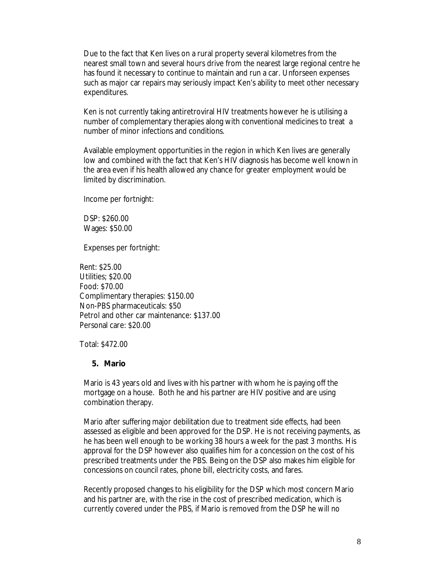Due to the fact that Ken lives on a rural property several kilometres from the nearest small town and several hours drive from the nearest large regional centre he has found it necessary to continue to maintain and run a car. Unforseen expenses such as major car repairs may seriously impact Ken's ability to meet other necessary expenditures.

Ken is not currently taking antiretroviral HIV treatments however he is utilising a number of complementary therapies along with conventional medicines to treat a number of minor infections and conditions.

Available employment opportunities in the region in which Ken lives are generally low and combined with the fact that Ken's HIV diagnosis has become well known in the area even if his health allowed any chance for greater employment would be limited by discrimination.

Income per fortnight:

DSP: \$260.00 Wages: \$50.00

Expenses per fortnight:

Rent: \$25.00 Utilities; \$20.00 Food: \$70.00 Complimentary therapies: \$150.00 Non-PBS pharmaceuticals: \$50 Petrol and other car maintenance: \$137.00 Personal care: \$20.00

Total: \$472.00

#### **5. Mario**

Mario is 43 years old and lives with his partner with whom he is paying off the mortgage on a house. Both he and his partner are HIV positive and are using combination therapy.

Mario after suffering major debilitation due to treatment side effects, had been assessed as eligible and been approved for the DSP. He is not receiving payments, as he has been well enough to be working 38 hours a week for the past 3 months. His approval for the DSP however also qualifies him for a concession on the cost of his prescribed treatments under the PBS. Being on the DSP also makes him eligible for concessions on council rates, phone bill, electricity costs, and fares.

Recently proposed changes to his eligibility for the DSP which most concern Mario and his partner are, with the rise in the cost of prescribed medication, which is currently covered under the PBS, if Mario is removed from the DSP he will no